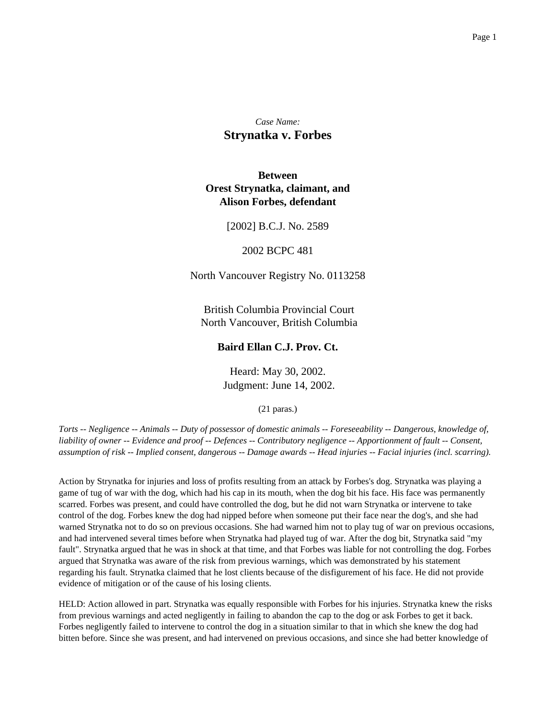*Case Name:* **Strynatka v. Forbes**

# **Between Orest Strynatka, claimant, and Alison Forbes, defendant**

## [2002] B.C.J. No. 2589

### 2002 BCPC 481

North Vancouver Registry No. 0113258

British Columbia Provincial Court North Vancouver, British Columbia

# **Baird Ellan C.J. Prov. Ct.**

Heard: May 30, 2002. Judgment: June 14, 2002.

(21 paras.)

*Torts -- Negligence -- Animals -- Duty of possessor of domestic animals -- Foreseeability -- Dangerous, knowledge of, liability of owner -- Evidence and proof -- Defences -- Contributory negligence -- Apportionment of fault -- Consent, assumption of risk -- Implied consent, dangerous -- Damage awards -- Head injuries -- Facial injuries (incl. scarring).*

Action by Strynatka for injuries and loss of profits resulting from an attack by Forbes's dog. Strynatka was playing a game of tug of war with the dog, which had his cap in its mouth, when the dog bit his face. His face was permanently scarred. Forbes was present, and could have controlled the dog, but he did not warn Strynatka or intervene to take control of the dog. Forbes knew the dog had nipped before when someone put their face near the dog's, and she had warned Strynatka not to do so on previous occasions. She had warned him not to play tug of war on previous occasions, and had intervened several times before when Strynatka had played tug of war. After the dog bit, Strynatka said "my fault". Strynatka argued that he was in shock at that time, and that Forbes was liable for not controlling the dog. Forbes argued that Strynatka was aware of the risk from previous warnings, which was demonstrated by his statement regarding his fault. Strynatka claimed that he lost clients because of the disfigurement of his face. He did not provide evidence of mitigation or of the cause of his losing clients.

HELD: Action allowed in part. Strynatka was equally responsible with Forbes for his injuries. Strynatka knew the risks from previous warnings and acted negligently in failing to abandon the cap to the dog or ask Forbes to get it back. Forbes negligently failed to intervene to control the dog in a situation similar to that in which she knew the dog had bitten before. Since she was present, and had intervened on previous occasions, and since she had better knowledge of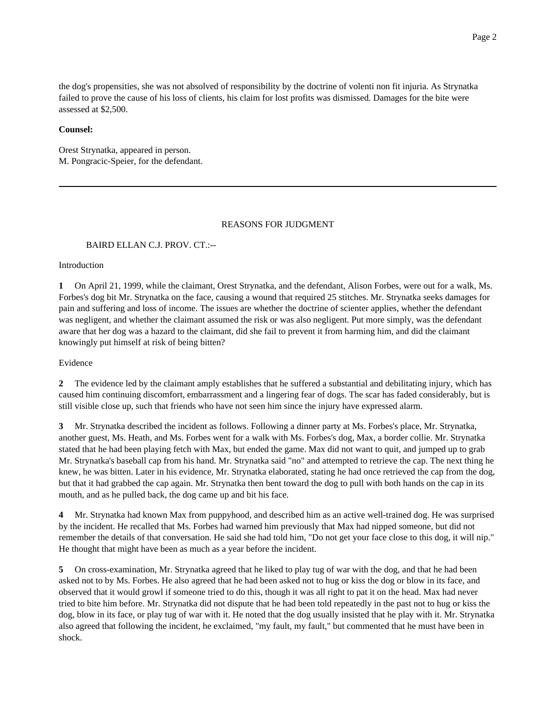the dog's propensities, she was not absolved of responsibility by the doctrine of volenti non fit injuria. As Strynatka failed to prove the cause of his loss of clients, his claim for lost profits was dismissed. Damages for the bite were assessed at \$2,500.

### **Counsel:**

Orest Strynatka, appeared in person. M. Pongracic-Speier, for the defendant.

#### REASONS FOR JUDGMENT

### BAIRD ELLAN C.J. PROV. CT.:--

Introduction

**1** On April 21, 1999, while the claimant, Orest Strynatka, and the defendant, Alison Forbes, were out for a walk, Ms. Forbes's dog bit Mr. Strynatka on the face, causing a wound that required 25 stitches. Mr. Strynatka seeks damages for pain and suffering and loss of income. The issues are whether the doctrine of scienter applies, whether the defendant was negligent, and whether the claimant assumed the risk or was also negligent. Put more simply, was the defendant aware that her dog was a hazard to the claimant, did she fail to prevent it from harming him, and did the claimant knowingly put himself at risk of being bitten?

Evidence

**2** The evidence led by the claimant amply establishes that he suffered a substantial and debilitating injury, which has caused him continuing discomfort, embarrassment and a lingering fear of dogs. The scar has faded considerably, but is still visible close up, such that friends who have not seen him since the injury have expressed alarm.

**3** Mr. Strynatka described the incident as follows. Following a dinner party at Ms. Forbes's place, Mr. Strynatka, another guest, Ms. Heath, and Ms. Forbes went for a walk with Ms. Forbes's dog, Max, a border collie. Mr. Strynatka stated that he had been playing fetch with Max, but ended the game. Max did not want to quit, and jumped up to grab Mr. Strynatka's baseball cap from his hand. Mr. Strynatka said "no" and attempted to retrieve the cap. The next thing he knew, he was bitten. Later in his evidence, Mr. Strynatka elaborated, stating he had once retrieved the cap from the dog, but that it had grabbed the cap again. Mr. Strynatka then bent toward the dog to pull with both hands on the cap in its mouth, and as he pulled back, the dog came up and bit his face.

**4** Mr. Strynatka had known Max from puppyhood, and described him as an active well-trained dog. He was surprised by the incident. He recalled that Ms. Forbes had warned him previously that Max had nipped someone, but did not remember the details of that conversation. He said she had told him, "Do not get your face close to this dog, it will nip." He thought that might have been as much as a year before the incident.

**5** On cross-examination, Mr. Strynatka agreed that he liked to play tug of war with the dog, and that he had been asked not to by Ms. Forbes. He also agreed that he had been asked not to hug or kiss the dog or blow in its face, and observed that it would growl if someone tried to do this, though it was all right to pat it on the head. Max had never tried to bite him before. Mr. Strynatka did not dispute that he had been told repeatedly in the past not to hug or kiss the dog, blow in its face, or play tug of war with it. He noted that the dog usually insisted that he play with it. Mr. Strynatka also agreed that following the incident, he exclaimed, "my fault, my fault," but commented that he must have been in shock.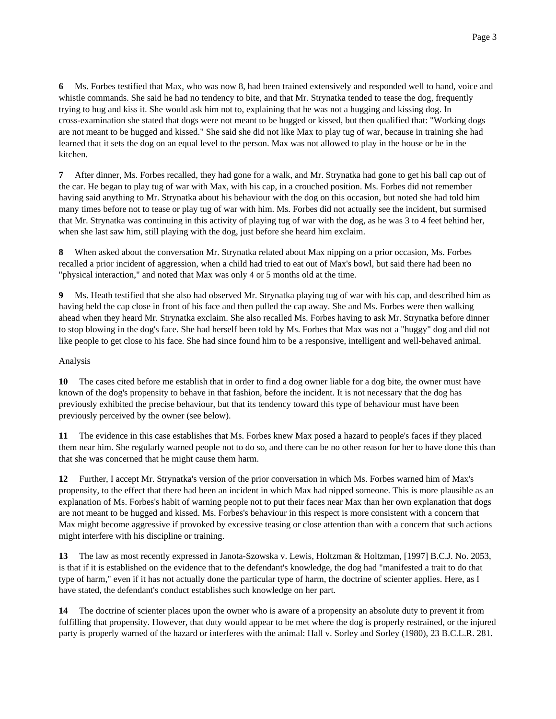**6** Ms. Forbes testified that Max, who was now 8, had been trained extensively and responded well to hand, voice and whistle commands. She said he had no tendency to bite, and that Mr. Strynatka tended to tease the dog, frequently trying to hug and kiss it. She would ask him not to, explaining that he was not a hugging and kissing dog. In cross-examination she stated that dogs were not meant to be hugged or kissed, but then qualified that: "Working dogs are not meant to be hugged and kissed." She said she did not like Max to play tug of war, because in training she had learned that it sets the dog on an equal level to the person. Max was not allowed to play in the house or be in the kitchen.

**7** After dinner, Ms. Forbes recalled, they had gone for a walk, and Mr. Strynatka had gone to get his ball cap out of the car. He began to play tug of war with Max, with his cap, in a crouched position. Ms. Forbes did not remember having said anything to Mr. Strynatka about his behaviour with the dog on this occasion, but noted she had told him many times before not to tease or play tug of war with him. Ms. Forbes did not actually see the incident, but surmised that Mr. Strynatka was continuing in this activity of playing tug of war with the dog, as he was 3 to 4 feet behind her, when she last saw him, still playing with the dog, just before she heard him exclaim.

**8** When asked about the conversation Mr. Strynatka related about Max nipping on a prior occasion, Ms. Forbes recalled a prior incident of aggression, when a child had tried to eat out of Max's bowl, but said there had been no "physical interaction," and noted that Max was only 4 or 5 months old at the time.

**9** Ms. Heath testified that she also had observed Mr. Strynatka playing tug of war with his cap, and described him as having held the cap close in front of his face and then pulled the cap away. She and Ms. Forbes were then walking ahead when they heard Mr. Strynatka exclaim. She also recalled Ms. Forbes having to ask Mr. Strynatka before dinner to stop blowing in the dog's face. She had herself been told by Ms. Forbes that Max was not a "huggy" dog and did not like people to get close to his face. She had since found him to be a responsive, intelligent and well-behaved animal.

### Analysis

**10** The cases cited before me establish that in order to find a dog owner liable for a dog bite, the owner must have known of the dog's propensity to behave in that fashion, before the incident. It is not necessary that the dog has previously exhibited the precise behaviour, but that its tendency toward this type of behaviour must have been previously perceived by the owner (see below).

**11** The evidence in this case establishes that Ms. Forbes knew Max posed a hazard to people's faces if they placed them near him. She regularly warned people not to do so, and there can be no other reason for her to have done this than that she was concerned that he might cause them harm.

**12** Further, I accept Mr. Strynatka's version of the prior conversation in which Ms. Forbes warned him of Max's propensity, to the effect that there had been an incident in which Max had nipped someone. This is more plausible as an explanation of Ms. Forbes's habit of warning people not to put their faces near Max than her own explanation that dogs are not meant to be hugged and kissed. Ms. Forbes's behaviour in this respect is more consistent with a concern that Max might become aggressive if provoked by excessive teasing or close attention than with a concern that such actions might interfere with his discipline or training.

**13** The law as most recently expressed in Janota-Szowska v. Lewis, Holtzman & Holtzman, [1997] B.C.J. No. 2053, is that if it is established on the evidence that to the defendant's knowledge, the dog had "manifested a trait to do that type of harm," even if it has not actually done the particular type of harm, the doctrine of scienter applies. Here, as I have stated, the defendant's conduct establishes such knowledge on her part.

**14** The doctrine of scienter places upon the owner who is aware of a propensity an absolute duty to prevent it from fulfilling that propensity. However, that duty would appear to be met where the dog is properly restrained, or the injured party is properly warned of the hazard or interferes with the animal: Hall v. Sorley and Sorley (1980), 23 B.C.L.R. 281.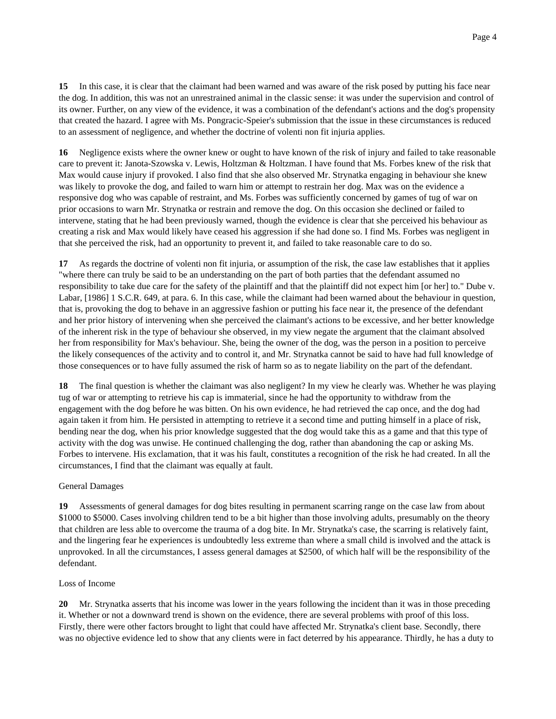**15** In this case, it is clear that the claimant had been warned and was aware of the risk posed by putting his face near the dog. In addition, this was not an unrestrained animal in the classic sense: it was under the supervision and control of its owner. Further, on any view of the evidence, it was a combination of the defendant's actions and the dog's propensity that created the hazard. I agree with Ms. Pongracic-Speier's submission that the issue in these circumstances is reduced to an assessment of negligence, and whether the doctrine of volenti non fit injuria applies.

**16** Negligence exists where the owner knew or ought to have known of the risk of injury and failed to take reasonable care to prevent it: Janota-Szowska v. Lewis, Holtzman & Holtzman. I have found that Ms. Forbes knew of the risk that Max would cause injury if provoked. I also find that she also observed Mr. Strynatka engaging in behaviour she knew was likely to provoke the dog, and failed to warn him or attempt to restrain her dog. Max was on the evidence a responsive dog who was capable of restraint, and Ms. Forbes was sufficiently concerned by games of tug of war on prior occasions to warn Mr. Strynatka or restrain and remove the dog. On this occasion she declined or failed to intervene, stating that he had been previously warned, though the evidence is clear that she perceived his behaviour as creating a risk and Max would likely have ceased his aggression if she had done so. I find Ms. Forbes was negligent in that she perceived the risk, had an opportunity to prevent it, and failed to take reasonable care to do so.

**17** As regards the doctrine of volenti non fit injuria, or assumption of the risk, the case law establishes that it applies "where there can truly be said to be an understanding on the part of both parties that the defendant assumed no responsibility to take due care for the safety of the plaintiff and that the plaintiff did not expect him [or her] to." Dube v. Labar, [1986] 1 S.C.R. 649, at para. 6. In this case, while the claimant had been warned about the behaviour in question, that is, provoking the dog to behave in an aggressive fashion or putting his face near it, the presence of the defendant and her prior history of intervening when she perceived the claimant's actions to be excessive, and her better knowledge of the inherent risk in the type of behaviour she observed, in my view negate the argument that the claimant absolved her from responsibility for Max's behaviour. She, being the owner of the dog, was the person in a position to perceive the likely consequences of the activity and to control it, and Mr. Strynatka cannot be said to have had full knowledge of those consequences or to have fully assumed the risk of harm so as to negate liability on the part of the defendant.

**18** The final question is whether the claimant was also negligent? In my view he clearly was. Whether he was playing tug of war or attempting to retrieve his cap is immaterial, since he had the opportunity to withdraw from the engagement with the dog before he was bitten. On his own evidence, he had retrieved the cap once, and the dog had again taken it from him. He persisted in attempting to retrieve it a second time and putting himself in a place of risk, bending near the dog, when his prior knowledge suggested that the dog would take this as a game and that this type of activity with the dog was unwise. He continued challenging the dog, rather than abandoning the cap or asking Ms. Forbes to intervene. His exclamation, that it was his fault, constitutes a recognition of the risk he had created. In all the circumstances, I find that the claimant was equally at fault.

### General Damages

**19** Assessments of general damages for dog bites resulting in permanent scarring range on the case law from about \$1000 to \$5000. Cases involving children tend to be a bit higher than those involving adults, presumably on the theory that children are less able to overcome the trauma of a dog bite. In Mr. Strynatka's case, the scarring is relatively faint, and the lingering fear he experiences is undoubtedly less extreme than where a small child is involved and the attack is unprovoked. In all the circumstances, I assess general damages at \$2500, of which half will be the responsibility of the defendant.

### Loss of Income

**20** Mr. Strynatka asserts that his income was lower in the years following the incident than it was in those preceding it. Whether or not a downward trend is shown on the evidence, there are several problems with proof of this loss. Firstly, there were other factors brought to light that could have affected Mr. Strynatka's client base. Secondly, there was no objective evidence led to show that any clients were in fact deterred by his appearance. Thirdly, he has a duty to